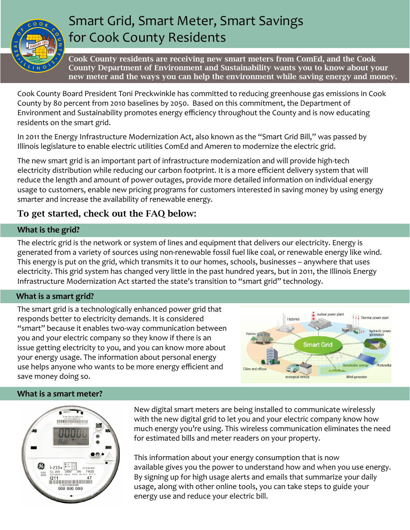

# Smart Grid, Smart Meter, Smart Savings for Cook County Residents

Cook County residents are receiving new smart meters from ComEd, and the Cook County Department of Environment and Sustainability wants you to know about your new meter and the ways you can help the environment while saving energy and money.

Cook County Board President Toni Preckwinkle has committed to reducing greenhouse gas emissions in Cook County by 80 percent from 2010 baselines by 2050. Based on this commitment, the Department of Environment and Sustainability promotes energy efficiency throughout the County and is now educating residents on the smart grid.

In 2011 the Energy Infrastructure Modernization Act, also known as the "Smart Grid Bill," was passed by Illinois legislature to enable electric utilities ComEd and Ameren to modernize the electric grid.

The new smart grid is an important part of infrastructure modernization and will provide high-tech electricity distribution while reducing our carbon footprint. It is a more efficient delivery system that will reduce the length and amount of power outages, provide more detailed information on individual energy usage to customers, enable new pricing programs for customers interested in saving money by using energy smarter and increase the availability of renewable energy.

## To get started, check out the FAQ below:

### **What is the grid?**

The electric grid is the network or system of lines and equipment that delivers our electricity. Energy is generated from a variety of sources using non-renewable fossil fuel like coal, or renewable energy like wind. This energy is put on the grid, which transmits it to our homes, schools, businesses – anywhere that uses electricity. This grid system has changed very little in the past hundred years, but in 2011, the Illinois Energy Infrastructure Modernization Act started the state's transition to "smart grid" technology.

### **What is a smart grid?**

The smart grid is a technologically enhanced power grid that responds better to electricity demands. It is considered "smart" because it enables two-way communication between you and your electric company so they know if there is an issue getting electricity to you, and you can know more about your energy usage. The information about personal energy use helps anyone who wants to be more energy efficient and save money doing so.



### **What is a smart meter?**



New digital smart meters are being installed to communicate wirelessly with the new digital grid to let you and your electric company know how much energy you're using. This wireless communication eliminates the need for estimated bills and meter readers on your property.

This information about your energy consumption that is now available gives you the power to understand how and when you use energy. By signing up for high usage alerts and emails that summarize your daily usage, along with other online tools, you can take steps to guide your energy use and reduce your electric bill.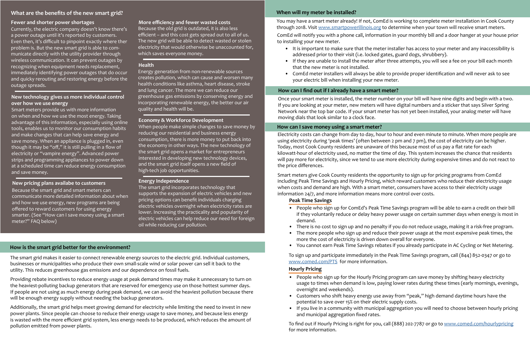Smart meters provide us with more information on when and how we use the most energy. Taking advantage of this information, especially using online tools, enables us to monitor our consumption habits and make changes that can help save energy and save money. When an appliance is plugged in, even though it may be "off," it is still pulling in a flow of electricity or "vampire energy". Advanced power strips and programming appliances to power down at a scheduled time can reduce energy consumption and save money.

Because the smart grid and smart meters can communicate more detailed information about when and how we use energy, new programs are being offered to reward customers for using energy smarter. (See "How can I save money using a smart meter?" FAQ below)

Because the old grid is outdated, it is also less efficient – and this cost gets spread out to all of us. The new grid will be able to detect wasted or stolen electricity that would otherwise be unaccounted for, which saves everyone money.

Providing rebate incentives to reduce energy usage at peak demand times may make it unnecessary to turn on the heaviest-polluting backup generators that are reserved for emergency use on those hottest summer days. If people are not using as much energy during peak demand, we can avoid the heaviest pollution because there will be enough energy supply without needing the backup generators.

Energy generation from non-renewable sources creates pollution, which can cause and worsen many health conditions like asthma, heart disease, stroke and lung cancer. The more we can reduce our greenhouse gas emissions by conserving energy and incorporating renewable energy, the better our air quality and health will be.

When people make simple changes to save money by reducing our residential and business energy consumption, there is more money to put back into the economy in other ways. The new technology of the smart grid opens a market for entrepreneurs interested in developing new technology devices, and the smart grid itself opens a new field of high-tech job opportunities.

You may have a smart meter already! If not, ComEd is working to complete meter installation in Cook County through 2018. Visit [www.smartpowerillinois.org](http://www.smartpowerillinois.org) to determine when your town will receive smart meters.

The smart grid incorporates technology that supports the expansion of electric vehicles and new pricing options can benefit individuals charging electric vehicles overnight when electricity rates are lower. Increasing the practicality and popularity of electric vehicles can help reduce our need for foreign oil while reducing car pollution.

The smart grid makes it easier to connect renewable energy sources to the electric grid. Individual customers, businesses or municipalities who produce their own small-scale wind or solar power can sell it back to the utility. This reduces greenhouse gas emissions and our dependence on fossil fuels.

Additionally, the smart grid helps meet growing demand for electricity while limiting the need to invest in new power plants. Since people can choose to reduce their energy usage to save money, and because less energy is wasted with the more efficient grid system, less energy needs to be produced, which reduces the amount of pollution emitted from power plants.

ComEd will notify you with a phone call, information in your monthly bill and a door hanger at your house prior to installing your new meter.

• It is important to make sure that the meter installer has access to your meter and any inaccessibility is

• If they are unable to install the meter after three attempts, you will see a fee on your bill each month

- addressed prior to their visit (i.e. locked gates, guard dogs, shrubbery).
- that the new meter is not installed.
- your electric bill when installing your new meter.

• ComEd meter installers will always be able to provide proper identification and will never ask to see

Once your smart meter is installed, the meter number on your bill will have nine digits and begin with a two. If you are looking at your meter, new meters will have digital numbers and a sticker that says Silver Spring Network near the top bar code. If your smart meter has not yet been installed, your analog meter will have moving dials that look similar to a clock face.

Electricity costs can change from day to day, hour to hour and even minute to minute. When more people are using electricity during 'peak times' (often between 2 pm and 7 pm), the cost of electricity can be higher. Today, most Cook County residents are unaware of this because most of us pay a flat rate for each kilowatt-hour of electricity used, no matter the time of day. This system increases the chance that residents will pay more for electricity, since we tend to use more electricity during expensive times and do not react to the price differences.

Smart meters give Cook County residents the opportunity to sign up for pricing programs from ComEd including Peak Time Savings and Hourly Pricing, which reward customers who reduce their electricity usage when costs and demand are high. With a smart meter, consumers have access to their electricity usage information 24/7, and more information means more control over costs.

• People who sign up for ComEd's Peak Time Savings program will be able to earn a credit on their bill if they voluntarily reduce or delay heavy power usage on certain summer days when energy is most in

• There is no cost to sign up and no penalty if you do not reduce usage, making it a risk-free program. • The more people who sign up and reduce their power usage at the most expensive peak times, the

- demand.
- 
- more the cost of electricity is driven down overall for everyone.
- 

• You cannot earn Peak Time Savings rebates if you already participate in AC Cycling or Net Metering.

• People who sign up for the Hourly Pricing program can save money by shifting heavy electricity usage to times when demand is low, paying lower rates during these times (early mornings, evenings,

• Customers who shift heavy energy use away from "peak," high demand daytime hours have the

- overnight and weekends).
- potential to save over 15% on their electric supply costs.
- and municipal aggregation fixed rates.

To sign up and participate immediately in the Peak Time Savings program, call (844) 852-0347 or go to [www.comed.com/PTS](http://www.comed.com/PTS) for more information. **Hourly Pricing** 

• If you live in a community with municipal aggregation you will need to choose between hourly pricing

To find out if Hourly Pricing is right for you, call (888) 202-7787 or go to [www.comed.com/hourlypricing](http://www.comed.com/hourlypricing) for more information.

### **How is the smart grid better for the environment?**

### **How can I find out if I already have a smart meter?**

### **How can I save money using a smart meter?**

### **When will my meter be installed?**

### **Peak Time Savings**

### **What are the benefits of the new smart grid?**

### **More efficiency and fewer wasted costs**

### **Health**

### **Economy & Workforce Development**

# **Energy Independence New pricing plans availabe to customers**

### **New technology gives us more individual control over how we use energy**

### **Fewer and shorter power shortages**

Currently, the electric company doesn't know there's a power outage until it's reported by customers. Even then, it's difficult to pinpoint exactly where ther problem is. But the new smart grid is able to communicate directly with the utility provider through wireless communication. It can prevent outages by recognizing when equipment needs replacement, immediately identifying power outages that do occur and quicky rerouting and restoring energy before the outage spreads.